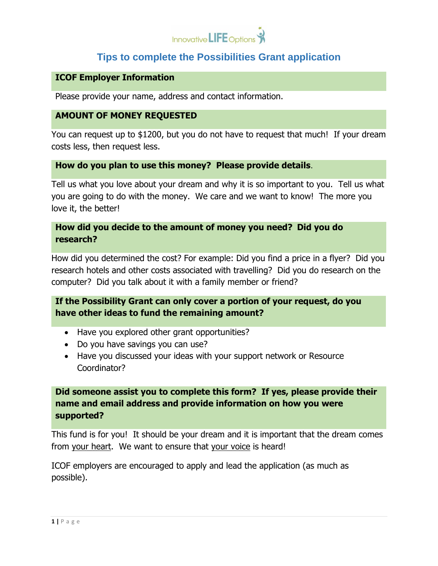

## **Tips to complete the Possibilities Grant application**

### **ICOF Employer Information**

Please provide your name, address and contact information.

#### **AMOUNT OF MONEY REQUESTED**

You can request up to \$1200, but you do not have to request that much! If your dream costs less, then request less.

## **How do you plan to use this money? Please provide details**.

Tell us what you love about your dream and why it is so important to you. Tell us what you are going to do with the money. We care and we want to know! The more you love it, the better!

### **How did you decide to the amount of money you need? Did you do research?**

How did you determined the cost? For example: Did you find a price in a flyer? Did you research hotels and other costs associated with travelling? Did you do research on the computer? Did you talk about it with a family member or friend?

## **If the Possibility Grant can only cover a portion of your request, do you have other ideas to fund the remaining amount?**

- Have you explored other grant opportunities?
- Do you have savings you can use?
- Have you discussed your ideas with your support network or Resource Coordinator?

**Did someone assist you to complete this form? If yes, please provide their name and email address and provide information on how you were supported?**

This fund is for you! It should be your dream and it is important that the dream comes from your heart. We want to ensure that your voice is heard!

ICOF employers are encouraged to apply and lead the application (as much as possible).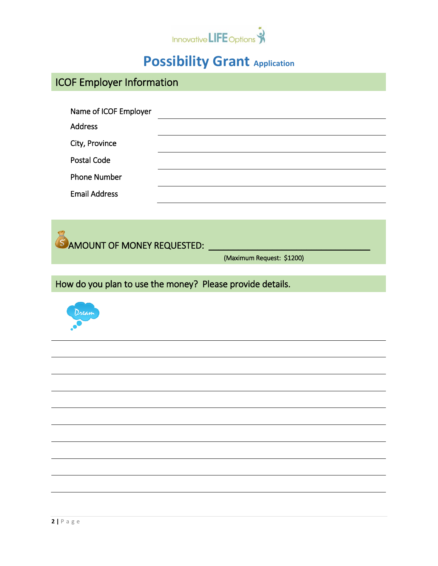

# **Possibility Grant Application**

|  |  |  | <b>ICOF Employer Information</b> |  |
|--|--|--|----------------------------------|--|
|--|--|--|----------------------------------|--|

| Name of ICOF Employer |  |
|-----------------------|--|
| <b>Address</b>        |  |
| City, Province        |  |
| Postal Code           |  |
| <b>Phone Number</b>   |  |
| <b>Email Address</b>  |  |

**AMOUNT OF MONEY REQUESTED:** 

(Maximum Request: \$1200)

How do you plan to use the money? Please provide details.